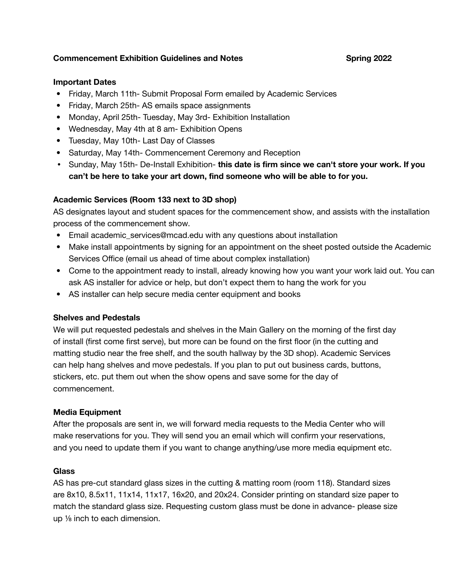## **Commencement Exhibition Guidelines and Notes Spring 2022**

### **Important Dates**

- **•** Friday, March 11th- Submit Proposal Form emailed by Academic Services
- **•** Friday, March 25th- AS emails space assignments
- **•** Monday, April 25th- Tuesday, May 3rd- Exhibition Installation
- **•** Wednesday, May 4th at 8 am- Exhibition Opens
- **•** Tuesday, May 10th- Last Day of Classes
- **•** Saturday, May 14th- Commencement Ceremony and Reception
- **•** Sunday, May 15th- De-Install Exhibition- **this date is firm since we can't store your work. If you can't be here to take your art down, find someone who will be able to for you.**

## **Academic Services (Room 133 next to 3D shop)**

AS designates layout and student spaces for the commencement show, and assists with the installation process of the commencement show.

- Email academic\_services@mcad.edu with any questions about installation
- Make install appointments by signing for an appointment on the sheet posted outside the Academic Services Office (email us ahead of time about complex installation)
- Come to the appointment ready to install, already knowing how you want your work laid out. You can ask AS installer for advice or help, but don't expect them to hang the work for you
- AS installer can help secure media center equipment and books

## **Shelves and Pedestals**

We will put requested pedestals and shelves in the Main Gallery on the morning of the first day of install (first come first serve), but more can be found on the first floor (in the cutting and matting studio near the free shelf, and the south hallway by the 3D shop). Academic Services can help hang shelves and move pedestals. If you plan to put out business cards, buttons, stickers, etc. put them out when the show opens and save some for the day of commencement.

## **Media Equipment**

After the proposals are sent in, we will forward media requests to the Media Center who will make reservations for you. They will send you an email which will confirm your reservations, and you need to update them if you want to change anything/use more media equipment etc.

#### **Glass**

AS has pre-cut standard glass sizes in the cutting & matting room (room 118). Standard sizes are 8x10, 8.5x11, 11x14, 11x17, 16x20, and 20x24. Consider printing on standard size paper to match the standard glass size. Requesting custom glass must be done in advance- please size up ⅛ inch to each dimension.